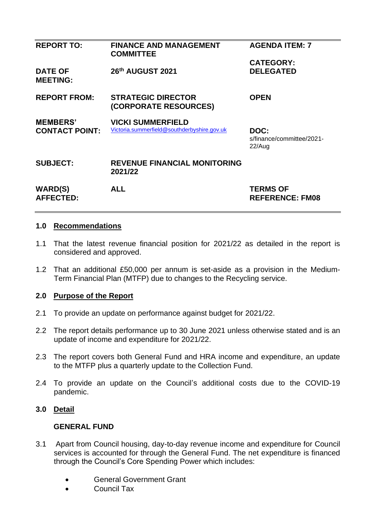| <b>REPORT TO:</b>                        | <b>FINANCE AND MANAGEMENT</b><br><b>COMMITTEE</b>                       | <b>AGENDA ITEM: 7</b>                       |
|------------------------------------------|-------------------------------------------------------------------------|---------------------------------------------|
| <b>DATE OF</b><br><b>MEETING:</b>        | 26th AUGUST 2021                                                        | <b>CATEGORY:</b><br><b>DELEGATED</b>        |
| <b>REPORT FROM:</b>                      | <b>STRATEGIC DIRECTOR</b><br>(CORPORATE RESOURCES)                      | <b>OPEN</b>                                 |
| <b>MEMBERS'</b><br><b>CONTACT POINT:</b> | <b>VICKI SUMMERFIELD</b><br>Victoria.summerfield@southderbyshire.gov.uk | DOC:<br>s/finance/committee/2021-<br>22/Aug |
| <b>SUBJECT:</b>                          | <b>REVENUE FINANCIAL MONITORING</b><br>2021/22                          |                                             |
| <b>WARD(S)</b><br><b>AFFECTED:</b>       | <b>ALL</b>                                                              | <b>TERMS OF</b><br><b>REFERENCE: FM08</b>   |
|                                          |                                                                         |                                             |

#### **1.0 Recommendations**

- 1.1 That the latest revenue financial position for 2021/22 as detailed in the report is considered and approved.
- 1.2 That an additional £50,000 per annum is set-aside as a provision in the Medium-Term Financial Plan (MTFP) due to changes to the Recycling service.

#### **2.0 Purpose of the Report**

- 2.1 To provide an update on performance against budget for 2021/22.
- 2.2 The report details performance up to 30 June 2021 unless otherwise stated and is an update of income and expenditure for 2021/22.
- 2.3 The report covers both General Fund and HRA income and expenditure, an update to the MTFP plus a quarterly update to the Collection Fund.
- 2.4 To provide an update on the Council's additional costs due to the COVID-19 pandemic.

#### **3.0 Detail**

#### **GENERAL FUND**

- 3.1 Apart from Council housing, day-to-day revenue income and expenditure for Council services is accounted for through the General Fund. The net expenditure is financed through the Council's Core Spending Power which includes:
	- General Government Grant
	- Council Tax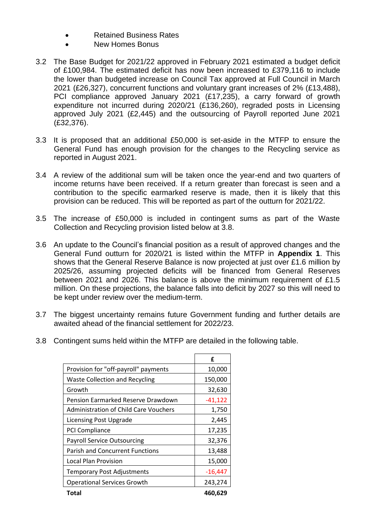- Retained Business Rates
- New Homes Bonus
- 3.2 The Base Budget for 2021/22 approved in February 2021 estimated a budget deficit of £100,984. The estimated deficit has now been increased to £379,116 to include the lower than budgeted increase on Council Tax approved at Full Council in March 2021 (£26,327), concurrent functions and voluntary grant increases of 2% (£13,488), PCI compliance approved January 2021 (£17,235), a carry forward of growth expenditure not incurred during 2020/21 (£136,260), regraded posts in Licensing approved July 2021 (£2,445) and the outsourcing of Payroll reported June 2021 (£32,376).
- 3.3 It is proposed that an additional £50,000 is set-aside in the MTFP to ensure the General Fund has enough provision for the changes to the Recycling service as reported in August 2021.
- 3.4 A review of the additional sum will be taken once the year-end and two quarters of income returns have been received. If a return greater than forecast is seen and a contribution to the specific earmarked reserve is made, then it is likely that this provision can be reduced. This will be reported as part of the outturn for 2021/22.
- 3.5 The increase of £50,000 is included in contingent sums as part of the Waste Collection and Recycling provision listed below at 3.8.
- 3.6 An update to the Council's financial position as a result of approved changes and the General Fund outturn for 2020/21 is listed within the MTFP in **Appendix 1**. This shows that the General Reserve Balance is now projected at just over £1.6 million by 2025/26, assuming projected deficits will be financed from General Reserves between 2021 and 2026. This balance is above the minimum requirement of £1.5 million. On these projections, the balance falls into deficit by 2027 so this will need to be kept under review over the medium-term.
- 3.7 The biggest uncertainty remains future Government funding and further details are awaited ahead of the financial settlement for 2022/23.
- 3.8 Contingent sums held within the MTFP are detailed in the following table.

|                                        | f         |
|----------------------------------------|-----------|
| Provision for "off-payroll" payments   | 10,000    |
| <b>Waste Collection and Recycling</b>  | 150,000   |
| Growth                                 | 32,630    |
| Pension Earmarked Reserve Drawdown     | $-41,122$ |
| Administration of Child Care Vouchers  | 1,750     |
| <b>Licensing Post Upgrade</b>          | 2,445     |
| <b>PCI Compliance</b>                  | 17,235    |
| <b>Payroll Service Outsourcing</b>     | 32,376    |
| <b>Parish and Concurrent Functions</b> | 13,488    |
| Local Plan Provision                   | 15,000    |
| <b>Temporary Post Adjustments</b>      | -16,447   |
| <b>Operational Services Growth</b>     | 243,274   |
| Total                                  | 460,629   |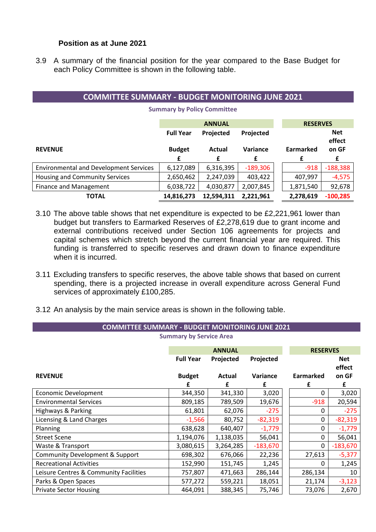#### **Position as at June 2021**

3.9 A summary of the financial position for the year compared to the Base Budget for each Policy Committee is shown in the following table.

| <b>COMMITTEE SUMMARY - BUDGET MONITORING JUNE 2021</b> |                  |                        |            |  |           |                      |  |  |
|--------------------------------------------------------|------------------|------------------------|------------|--|-----------|----------------------|--|--|
| <b>Summary by Policy Committee</b>                     |                  |                        |            |  |           |                      |  |  |
|                                                        | <b>RESERVES</b>  |                        |            |  |           |                      |  |  |
|                                                        | <b>Full Year</b> | Projected<br>Projected |            |  |           | <b>Net</b><br>effect |  |  |
| <b>REVENUE</b>                                         | <b>Budget</b>    | <b>Actual</b>          | Variance   |  | Earmarked | on GF                |  |  |
|                                                        | £                | £                      | £          |  | £         | £                    |  |  |
| <b>Environmental and Development Services</b>          | 6,127,089        | 6,316,395              | $-189,306$ |  | $-918$    | $-188,388$           |  |  |
| Housing and Community Services                         | 2,650,462        | 2,247,039              | 403,422    |  | 407,997   | $-4,575$             |  |  |
| Finance and Management                                 | 6,038,722        | 4,030,877              | 2,007,845  |  | 1,871,540 | 92,678               |  |  |
| <b>TOTAL</b>                                           | 14,816,273       | 12,594,311             | 2,221,961  |  | 2,278,619 | $-100,285$           |  |  |

- 3.10 The above table shows that net expenditure is expected to be £2,221,961 lower than budget but transfers to Earmarked Reserves of £2,278,619 due to grant income and external contributions received under Section 106 agreements for projects and capital schemes which stretch beyond the current financial year are required. This funding is transferred to specific reserves and drawn down to finance expenditure when it is incurred.
- 3.11 Excluding transfers to specific reserves, the above table shows that based on current spending, there is a projected increase in overall expenditure across General Fund services of approximately £100,285.
- 3.12 An analysis by the main service areas is shown in the following table.

| <b>COMMITTEE SUMMARY - BUDGET MONITORING JUNE 2021</b> |                  |               |            |                  |                      |  |  |
|--------------------------------------------------------|------------------|---------------|------------|------------------|----------------------|--|--|
| <b>Summary by Service Area</b>                         |                  |               |            |                  |                      |  |  |
|                                                        |                  | <b>ANNUAL</b> |            |                  | <b>RESERVES</b>      |  |  |
|                                                        | <b>Full Year</b> | Projected     | Projected  |                  | <b>Net</b><br>effect |  |  |
| <b>REVENUE</b>                                         | <b>Budget</b>    | Actual        | Variance   | <b>Earmarked</b> | on GF                |  |  |
|                                                        | f                | £             | £          | £                | £                    |  |  |
| <b>Economic Development</b>                            | 344,350          | 341,330       | 3,020      |                  | 3,020<br>0           |  |  |
| <b>Environmental Services</b>                          | 809,185          | 789,509       | 19,676     | $-918$           | 20,594               |  |  |
| Highways & Parking                                     | 61,801           | 62,076        | $-275$     |                  | $-275$<br>0          |  |  |
| Licensing & Land Charges                               | $-1,566$         | 80,752        | $-82,319$  |                  | $-82,319$<br>0       |  |  |
| Planning                                               | 638,628          | 640,407       | $-1,779$   |                  | $-1,779$<br>0        |  |  |
| <b>Street Scene</b>                                    | 1,194,076        | 1,138,035     | 56,041     |                  | 56,041<br>0          |  |  |
| Waste & Transport                                      | 3,080,615        | 3,264,285     | $-183,670$ |                  | $-183,670$<br>0      |  |  |
| Community Development & Support                        | 698,302          | 676,066       | 22,236     | 27,613           | $-5,377$             |  |  |
| <b>Recreational Activities</b>                         | 152,990          | 151,745       | 1,245      |                  | 1,245<br>0           |  |  |
| Leisure Centres & Community Facilities                 | 757,807          | 471,663       | 286,144    | 286,134          | 10                   |  |  |
| Parks & Open Spaces                                    | 577,272          | 559,221       | 18,051     | 21,174           | $-3,123$             |  |  |
| <b>Private Sector Housing</b>                          | 464,091          | 388,345       | 75,746     | 73,076           | 2,670                |  |  |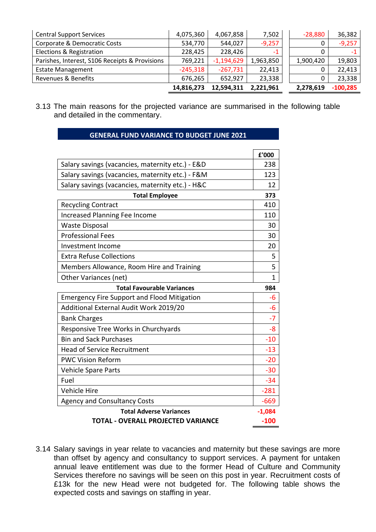| <b>Central Support Services</b>                | 4,075,360  | 4,067,858    | 7,502     | $-28,880$ | 36,382     |
|------------------------------------------------|------------|--------------|-----------|-----------|------------|
| Corporate & Democratic Costs                   | 534,770    | 544,027      | $-9,257$  | 0         | $-9,257$   |
| Elections & Registration                       | 228,425    | 228,426      |           | 0         |            |
| Parishes, Interest, S106 Receipts & Provisions | 769,221    | $-1,194,629$ | 1,963,850 | 1,900,420 | 19,803     |
| <b>Estate Management</b>                       | $-245,318$ | $-267,731$   | 22,413    | 0         | 22,413     |
| <b>Revenues &amp; Benefits</b>                 | 676,265    | 652,927      | 23,338    | 0         | 23,338     |
|                                                | 14,816,273 | 12,594,311   | 2,221,961 | 2,278,619 | $-100,285$ |

3.13 The main reasons for the projected variance are summarised in the following table and detailed in the commentary.

**GENERAL FUND VARIANCE TO BUDGET JUNE 2021**

|                                                    | £'000       |
|----------------------------------------------------|-------------|
| Salary savings (vacancies, maternity etc.) - E&D   | 238         |
| Salary savings (vacancies, maternity etc.) - F&M   | 123         |
| Salary savings (vacancies, maternity etc.) - H&C   | 12          |
| <b>Total Employee</b>                              | 373         |
| <b>Recycling Contract</b>                          | 410         |
| <b>Increased Planning Fee Income</b>               | 110         |
| <b>Waste Disposal</b>                              | 30          |
| <b>Professional Fees</b>                           | 30          |
| Investment Income                                  | 20          |
| <b>Extra Refuse Collections</b>                    | 5           |
| Members Allowance, Room Hire and Training          | 5           |
| Other Variances (net)                              | $\mathbf 1$ |
| <b>Total Favourable Variances</b>                  | 984         |
| <b>Emergency Fire Support and Flood Mitigation</b> | -6          |
| Additional External Audit Work 2019/20             | $-6$        |
| <b>Bank Charges</b>                                | $-7$        |
| Responsive Tree Works in Churchyards               | $-8$        |
| <b>Bin and Sack Purchases</b>                      | $-10$       |
| <b>Head of Service Recruitment</b>                 | $-13$       |
| <b>PWC Vision Reform</b>                           | $-20$       |
| <b>Vehicle Spare Parts</b>                         | $-30$       |
| Fuel                                               | $-34$       |
| <b>Vehicle Hire</b>                                | $-281$      |
| <b>Agency and Consultancy Costs</b>                | $-669$      |
| <b>Total Adverse Variances</b>                     | $-1,084$    |
| <b>TOTAL - OVERALL PROJECTED VARIANCE</b>          | $-100$      |

3.14 Salary savings in year relate to vacancies and maternity but these savings are more than offset by agency and consultancy to support services. A payment for untaken annual leave entitlement was due to the former Head of Culture and Community Services therefore no savings will be seen on this post in year. Recruitment costs of £13k for the new Head were not budgeted for. The following table shows the expected costs and savings on staffing in year.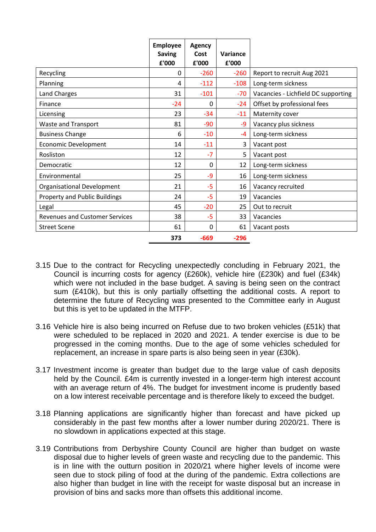|                                       | <b>Employee</b><br><b>Saving</b><br>£'000 | <b>Agency</b><br>Cost<br>£'000 | Variance<br>£'000 |                                     |
|---------------------------------------|-------------------------------------------|--------------------------------|-------------------|-------------------------------------|
| Recycling                             | 0                                         | $-260$                         | $-260$            | Report to recruit Aug 2021          |
| Planning                              | 4                                         | $-112$                         | $-108$            | Long-term sickness                  |
| Land Charges                          | 31                                        | $-101$                         | $-70$             | Vacancies - Lichfield DC supporting |
| Finance                               | $-24$                                     | 0                              | $-24$             | Offset by professional fees         |
| Licensing                             | 23                                        | $-34$                          | $-11$             | Maternity cover                     |
| Waste and Transport                   | 81                                        | $-90$                          | -9                | Vacancy plus sickness               |
| <b>Business Change</b>                | 6                                         | $-10$                          | $-4$              | Long-term sickness                  |
| <b>Economic Development</b>           | 14                                        | $-11$                          | 3                 | Vacant post                         |
| Rosliston                             | 12                                        | $-7$                           | 5                 | Vacant post                         |
| Democratic                            | 12                                        | 0                              | 12                | Long-term sickness                  |
| Environmental                         | 25                                        | -9                             | 16                | Long-term sickness                  |
| Organisational Development            | 21                                        | -5                             | 16                | Vacancy recruited                   |
| <b>Property and Public Buildings</b>  | 24                                        | -5                             | 19                | Vacancies                           |
| Legal                                 | 45                                        | $-20$                          | 25                | Out to recruit                      |
| <b>Revenues and Customer Services</b> | 38                                        | -5                             | 33                | Vacancies                           |
| <b>Street Scene</b>                   | 61                                        | 0                              | 61                | Vacant posts                        |
|                                       | 373                                       | $-669$                         | $-296$            |                                     |

- 3.15 Due to the contract for Recycling unexpectedly concluding in February 2021, the Council is incurring costs for agency (£260k), vehicle hire (£230k) and fuel (£34k) which were not included in the base budget. A saving is being seen on the contract sum (£410k), but this is only partially offsetting the additional costs. A report to determine the future of Recycling was presented to the Committee early in August but this is yet to be updated in the MTFP.
- 3.16 Vehicle hire is also being incurred on Refuse due to two broken vehicles (£51k) that were scheduled to be replaced in 2020 and 2021. A tender exercise is due to be progressed in the coming months. Due to the age of some vehicles scheduled for replacement, an increase in spare parts is also being seen in year (£30k).
- 3.17 Investment income is greater than budget due to the large value of cash deposits held by the Council. £4m is currently invested in a longer-term high interest account with an average return of 4%. The budget for investment income is prudently based on a low interest receivable percentage and is therefore likely to exceed the budget.
- 3.18 Planning applications are significantly higher than forecast and have picked up considerably in the past few months after a lower number during 2020/21. There is no slowdown in applications expected at this stage.
- 3.19 Contributions from Derbyshire County Council are higher than budget on waste disposal due to higher levels of green waste and recycling due to the pandemic. This is in line with the outturn position in 2020/21 where higher levels of income were seen due to stock piling of food at the during of the pandemic. Extra collections are also higher than budget in line with the receipt for waste disposal but an increase in provision of bins and sacks more than offsets this additional income.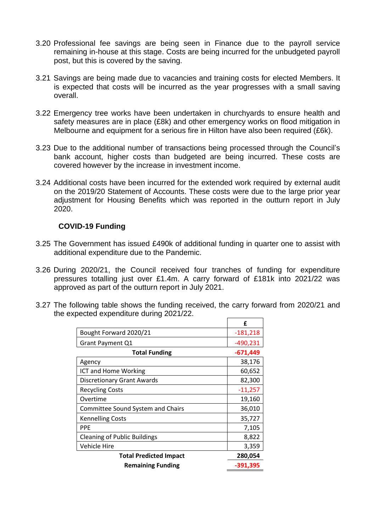- 3.20 Professional fee savings are being seen in Finance due to the payroll service remaining in-house at this stage. Costs are being incurred for the unbudgeted payroll post, but this is covered by the saving.
- 3.21 Savings are being made due to vacancies and training costs for elected Members. It is expected that costs will be incurred as the year progresses with a small saving overall.
- 3.22 Emergency tree works have been undertaken in churchyards to ensure health and safety measures are in place (£8k) and other emergency works on flood mitigation in Melbourne and equipment for a serious fire in Hilton have also been required (£6k).
- 3.23 Due to the additional number of transactions being processed through the Council's bank account, higher costs than budgeted are being incurred. These costs are covered however by the increase in investment income.
- 3.24 Additional costs have been incurred for the extended work required by external audit on the 2019/20 Statement of Accounts. These costs were due to the large prior year adjustment for Housing Benefits which was reported in the outturn report in July 2020.

#### **COVID-19 Funding**

- 3.25 The Government has issued £490k of additional funding in quarter one to assist with additional expenditure due to the Pandemic.
- 3.26 During 2020/21, the Council received four tranches of funding for expenditure pressures totalling just over £1.4m. A carry forward of £181k into 2021/22 was approved as part of the outturn report in July 2021.
- 3.27 The following table shows the funding received, the carry forward from 2020/21 and the expected expenditure during 2021/22.  $\blacksquare$

|                                          | f          |
|------------------------------------------|------------|
| Bought Forward 2020/21                   | $-181,218$ |
| Grant Payment Q1                         | -490,231   |
| <b>Total Funding</b>                     | $-671,449$ |
| Agency                                   | 38,176     |
| ICT and Home Working                     | 60,652     |
| <b>Discretionary Grant Awards</b>        | 82,300     |
| <b>Recycling Costs</b>                   | $-11,257$  |
| Overtime                                 | 19,160     |
| <b>Committee Sound System and Chairs</b> | 36,010     |
| <b>Kennelling Costs</b>                  | 35,727     |
| <b>PPE</b>                               | 7,105      |
| <b>Cleaning of Public Buildings</b>      | 8,822      |
| Vehicle Hire                             | 3,359      |
| <b>Total Predicted Impact</b>            | 280,054    |
| <b>Remaining Funding</b>                 | -391,395   |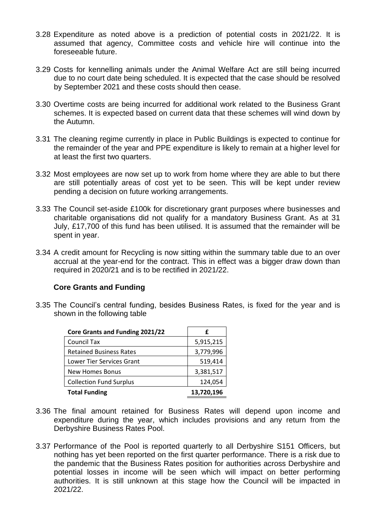- 3.28 Expenditure as noted above is a prediction of potential costs in 2021/22. It is assumed that agency, Committee costs and vehicle hire will continue into the foreseeable future.
- 3.29 Costs for kennelling animals under the Animal Welfare Act are still being incurred due to no court date being scheduled. It is expected that the case should be resolved by September 2021 and these costs should then cease.
- 3.30 Overtime costs are being incurred for additional work related to the Business Grant schemes. It is expected based on current data that these schemes will wind down by the Autumn.
- 3.31 The cleaning regime currently in place in Public Buildings is expected to continue for the remainder of the year and PPE expenditure is likely to remain at a higher level for at least the first two quarters.
- 3.32 Most employees are now set up to work from home where they are able to but there are still potentially areas of cost yet to be seen. This will be kept under review pending a decision on future working arrangements.
- 3.33 The Council set-aside £100k for discretionary grant purposes where businesses and charitable organisations did not qualify for a mandatory Business Grant. As at 31 July, £17,700 of this fund has been utilised. It is assumed that the remainder will be spent in year.
- 3.34 A credit amount for Recycling is now sitting within the summary table due to an over accrual at the year-end for the contract. This in effect was a bigger draw down than required in 2020/21 and is to be rectified in 2021/22.

#### **Core Grants and Funding**

3.35 The Council's central funding, besides Business Rates, is fixed for the year and is shown in the following table

| Core Grants and Funding 2021/22 | £          |
|---------------------------------|------------|
| <b>Council Tax</b>              | 5,915,215  |
| <b>Retained Business Rates</b>  | 3,779,996  |
| Lower Tier Services Grant       | 519,414    |
| New Homes Bonus                 | 3,381,517  |
| <b>Collection Fund Surplus</b>  | 124,054    |
| <b>Total Funding</b>            | 13,720,196 |

- 3.36 The final amount retained for Business Rates will depend upon income and expenditure during the year, which includes provisions and any return from the Derbyshire Business Rates Pool.
- 3.37 Performance of the Pool is reported quarterly to all Derbyshire S151 Officers, but nothing has yet been reported on the first quarter performance. There is a risk due to the pandemic that the Business Rates position for authorities across Derbyshire and potential losses in income will be seen which will impact on better performing authorities. It is still unknown at this stage how the Council will be impacted in 2021/22.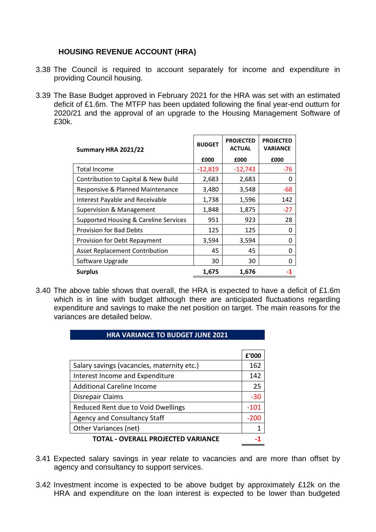## **HOUSING REVENUE ACCOUNT (HRA)**

- 3.38 The Council is required to account separately for income and expenditure in providing Council housing.
- 3.39 The Base Budget approved in February 2021 for the HRA was set with an estimated deficit of £1.6m. The MTFP has been updated following the final year-end outturn for 2020/21 and the approval of an upgrade to the Housing Management Software of £30k.

| Summary HRA 2021/22                    | <b>BUDGET</b> | <b>PROJECTED</b><br><b>ACTUAL</b> | <b>PROJECTED</b><br><b>VARIANCE</b> |  |
|----------------------------------------|---------------|-----------------------------------|-------------------------------------|--|
|                                        | £000          | £000                              | £000                                |  |
| <b>Total Income</b>                    | $-12,819$     | $-12,743$                         | $-76$                               |  |
| Contribution to Capital & New Build    | 2,683         | 2,683                             | 0                                   |  |
| Responsive & Planned Maintenance       | 3,480         | 3,548                             | $-68$                               |  |
| <b>Interest Payable and Receivable</b> | 1,738         | 1,596                             | 142                                 |  |
| <b>Supervision &amp; Management</b>    | 1,848         | 1,875                             | $-27$                               |  |
| Supported Housing & Careline Services  | 951           | 923                               | 28                                  |  |
| <b>Provision for Bad Debts</b>         | 125           | 125                               | 0                                   |  |
| Provision for Debt Repayment           | 3,594         | 3,594                             | O                                   |  |
| <b>Asset Replacement Contribution</b>  | 45            | 45                                | 0                                   |  |
| Software Upgrade                       | 30            | 30                                | n                                   |  |
| <b>Surplus</b>                         | 1,675         | 1,676                             |                                     |  |

3.40 The above table shows that overall, the HRA is expected to have a deficit of £1.6m which is in line with budget although there are anticipated fluctuations regarding expenditure and savings to make the net position on target. The main reasons for the variances are detailed below.

#### **HRA VARIANCE TO BUDGET JUNE 2021**

|                                            | £'000 |
|--------------------------------------------|-------|
| Salary savings (vacancies, maternity etc.) | 162   |
| Interest Income and Expenditure            | 142   |
| <b>Additional Careline Income</b>          | 25    |
| Disrepair Claims                           | $-30$ |
| Reduced Rent due to Void Dwellings         | -101  |
| <b>Agency and Consultancy Staff</b>        | -200  |
| Other Variances (net)                      |       |
| TOTAL - OVERALL PROJECTED VARIANCE         |       |

- 3.41 Expected salary savings in year relate to vacancies and are more than offset by agency and consultancy to support services.
- 3.42 Investment income is expected to be above budget by approximately £12k on the HRA and expenditure on the loan interest is expected to be lower than budgeted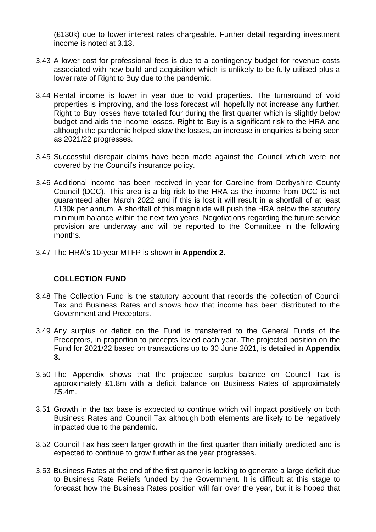(£130k) due to lower interest rates chargeable. Further detail regarding investment income is noted at 3.13.

- 3.43 A lower cost for professional fees is due to a contingency budget for revenue costs associated with new build and acquisition which is unlikely to be fully utilised plus a lower rate of Right to Buy due to the pandemic.
- 3.44 Rental income is lower in year due to void properties. The turnaround of void properties is improving, and the loss forecast will hopefully not increase any further. Right to Buy losses have totalled four during the first quarter which is slightly below budget and aids the income losses. Right to Buy is a significant risk to the HRA and although the pandemic helped slow the losses, an increase in enquiries is being seen as 2021/22 progresses.
- 3.45 Successful disrepair claims have been made against the Council which were not covered by the Council's insurance policy.
- 3.46 Additional income has been received in year for Careline from Derbyshire County Council (DCC). This area is a big risk to the HRA as the income from DCC is not guaranteed after March 2022 and if this is lost it will result in a shortfall of at least £130k per annum. A shortfall of this magnitude will push the HRA below the statutory minimum balance within the next two years. Negotiations regarding the future service provision are underway and will be reported to the Committee in the following months.
- 3.47 The HRA's 10-year MTFP is shown in **Appendix 2**.

#### **COLLECTION FUND**

- 3.48 The Collection Fund is the statutory account that records the collection of Council Tax and Business Rates and shows how that income has been distributed to the Government and Preceptors.
- 3.49 Any surplus or deficit on the Fund is transferred to the General Funds of the Preceptors, in proportion to precepts levied each year. The projected position on the Fund for 2021/22 based on transactions up to 30 June 2021, is detailed in **Appendix 3.**
- 3.50 The Appendix shows that the projected surplus balance on Council Tax is approximately £1.8m with a deficit balance on Business Rates of approximately £5.4m.
- 3.51 Growth in the tax base is expected to continue which will impact positively on both Business Rates and Council Tax although both elements are likely to be negatively impacted due to the pandemic.
- 3.52 Council Tax has seen larger growth in the first quarter than initially predicted and is expected to continue to grow further as the year progresses.
- 3.53 Business Rates at the end of the first quarter is looking to generate a large deficit due to Business Rate Reliefs funded by the Government. It is difficult at this stage to forecast how the Business Rates position will fair over the year, but it is hoped that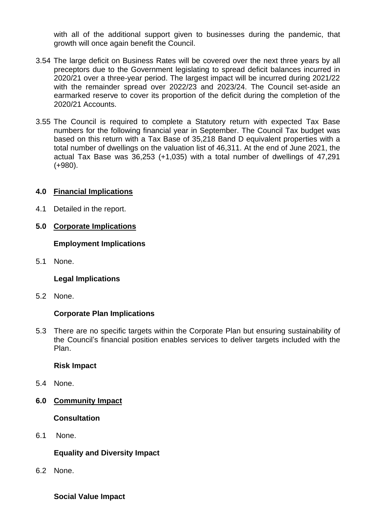with all of the additional support given to businesses during the pandemic, that growth will once again benefit the Council.

- 3.54 The large deficit on Business Rates will be covered over the next three years by all preceptors due to the Government legislating to spread deficit balances incurred in 2020/21 over a three-year period. The largest impact will be incurred during 2021/22 with the remainder spread over 2022/23 and 2023/24. The Council set-aside an earmarked reserve to cover its proportion of the deficit during the completion of the 2020/21 Accounts.
- 3.55 The Council is required to complete a Statutory return with expected Tax Base numbers for the following financial year in September. The Council Tax budget was based on this return with a Tax Base of 35,218 Band D equivalent properties with a total number of dwellings on the valuation list of 46,311. At the end of June 2021, the actual Tax Base was 36,253 (+1,035) with a total number of dwellings of 47,291 (+980).

#### **4.0 Financial Implications**

4.1 Detailed in the report.

#### **5.0 Corporate Implications**

#### **Employment Implications**

5.1 None.

#### **Legal Implications**

5.2 None.

#### **Corporate Plan Implications**

5.3 There are no specific targets within the Corporate Plan but ensuring sustainability of the Council's financial position enables services to deliver targets included with the Plan.

#### **Risk Impact**

- 5.4 None.
- **6.0 Community Impact**

#### **Consultation**

6.1 None.

#### **Equality and Diversity Impact**

6.2 None.

#### **Social Value Impact**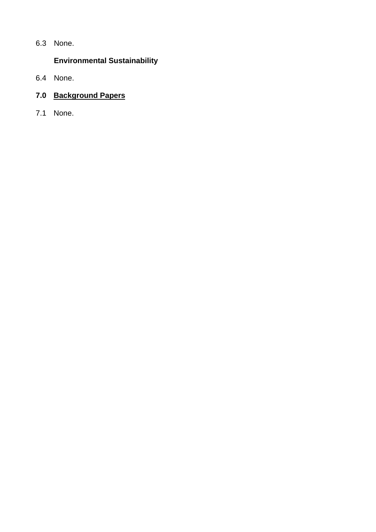6.3 None.

# **Environmental Sustainability**

6.4 None.

# **7.0 Background Papers**

7.1 None.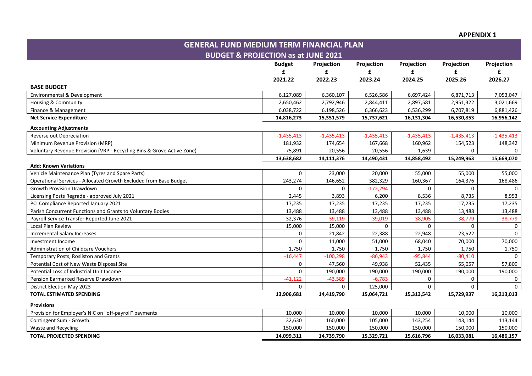**APPENDIX 1**

| <b>GENERAL FUND MEDIUM TERM FINANCIAL PLAN</b>                         |                                                |              |              |              |              |              |
|------------------------------------------------------------------------|------------------------------------------------|--------------|--------------|--------------|--------------|--------------|
|                                                                        | <b>BUDGET &amp; PROJECTION as at JUNE 2021</b> |              |              |              |              |              |
|                                                                        | <b>Budget</b>                                  | Projection   | Projection   | Projection   | Projection   | Projection   |
|                                                                        | £                                              | £            | £            | £            | £            | £            |
|                                                                        | 2021.22                                        | 2022.23      | 2023.24      | 2024.25      | 2025.26      | 2026.27      |
| <b>BASE BUDGET</b>                                                     |                                                |              |              |              |              |              |
| Environmental & Development                                            | 6,127,089                                      | 6,360,107    | 6,526,586    | 6,697,424    | 6,871,713    | 7,053,047    |
| Housing & Community                                                    | 2,650,462                                      | 2,792,946    | 2,844,411    | 2,897,581    | 2,951,322    | 3,021,669    |
| Finance & Management                                                   | 6,038,722                                      | 6,198,526    | 6,366,623    | 6,536,299    | 6,707,819    | 6,881,426    |
| <b>Net Service Expenditure</b>                                         | 14,816,273                                     | 15,351,579   | 15,737,621   | 16,131,304   | 16,530,853   | 16,956,142   |
| <b>Accounting Adjustments</b>                                          |                                                |              |              |              |              |              |
| Reverse out Depreciation                                               | $-1,435,413$                                   | $-1,435,413$ | $-1,435,413$ | $-1,435,413$ | $-1,435,413$ | $-1,435,413$ |
| Minimum Revenue Provision (MRP)                                        | 181,932                                        | 174,654      | 167,668      | 160,962      | 154,523      | 148,342      |
| Voluntary Revenue Provision (VRP - Recycling Bins & Grove Active Zone) | 75,891                                         | 20,556       | 20,556       | 1,639        | $\mathbf{0}$ |              |
|                                                                        | 13,638,682                                     | 14,111,376   | 14,490,431   | 14,858,492   | 15,249,963   | 15,669,070   |
| <b>Add: Known Variations</b>                                           |                                                |              |              |              |              |              |
| Vehicle Maintenance Plan (Tyres and Spare Parts)                       | $\mathbf 0$                                    | 23,000       | 20,000       | 55,000       | 55,000       | 55,000       |
| Operational Services - Allocated Growth Excluded from Base Budget      | 243,274                                        | 146,652      | 382,329      | 160,367      | 164,376      | 168,486      |
| Growth Provision Drawdown                                              | 0                                              | $\Omega$     | $-172,294$   | $\Omega$     | $\mathbf 0$  |              |
| Licensing Posts Regrade - approved July 2021                           | 2,445                                          | 3,893        | 6,200        | 8,536        | 8,735        | 8,953        |
| PCI Compliance Reported January 2021                                   | 17,235                                         | 17,235       | 17,235       | 17,235       | 17,235       | 17,235       |
| Parish Concurrent Functions and Grants to Voluntary Bodies             | 13,488                                         | 13,488       | 13,488       | 13,488       | 13,488       | 13,488       |
| Payroll Service Transfer Reported June 2021                            | 32,376                                         | $-39,119$    | $-39,019$    | $-38,905$    | $-38,779$    | $-38,779$    |
| Local Plan Review                                                      | 15,000                                         | 15,000       | $\Omega$     | $\Omega$     | $\mathbf{0}$ | $\Omega$     |
| <b>Incremental Salary Increases</b>                                    | $\mathbf 0$                                    | 21,842       | 22,388       | 22,948       | 23,522       | $\Omega$     |
| Investment Income                                                      | $\Omega$                                       | 11,000       | 51,000       | 68,040       | 70,000       | 70,000       |
| <b>Administration of Childcare Vouchers</b>                            | 1,750                                          | 1,750        | 1,750        | 1,750        | 1,750        | 1,750        |
| Temporary Posts, Rosliston and Grants                                  | $-16,447$                                      | $-100,298$   | $-86,943$    | $-95,844$    | $-80,410$    | $\Omega$     |
| Potential Cost of New Waste Disposal Site                              | 0                                              | 47,560       | 49,938       | 52,435       | 55,057       | 57,809       |
| Potential Loss of Industrial Unit Income                               | $\Omega$                                       | 190,000      | 190,000      | 190,000      | 190,000      | 190,000      |
| Pension Earmarked Reserve Drawdown                                     | $-41,122$                                      | $-43,589$    | $-6,783$     | 0            | 0            | $\Omega$     |
| District Election May 2023                                             | $\Omega$                                       | $\Omega$     | 125,000      | $\Omega$     | $\Omega$     |              |
| <b>TOTAL ESTIMATED SPENDING</b>                                        | 13,906,681                                     | 14,419,790   | 15,064,721   | 15,313,542   | 15,729,937   | 16,213,013   |
| <b>Provisions</b>                                                      |                                                |              |              |              |              |              |
| Provision for Employer's NIC on "off-payroll" payments                 | 10,000                                         | 10,000       | 10,000       | 10,000       | 10,000       | 10,000       |
| Contingent Sum - Growth                                                | 32,630                                         | 160,000      | 105,000      | 143,254      | 143,144      | 113,144      |
| Waste and Recycling                                                    | 150,000                                        | 150,000      | 150,000      | 150,000      | 150,000      | 150,000      |
| <b>TOTAL PROJECTED SPENDING</b>                                        | 14,099,311                                     | 14,739,790   | 15,329,721   | 15,616,796   | 16,033,081   | 16,486,157   |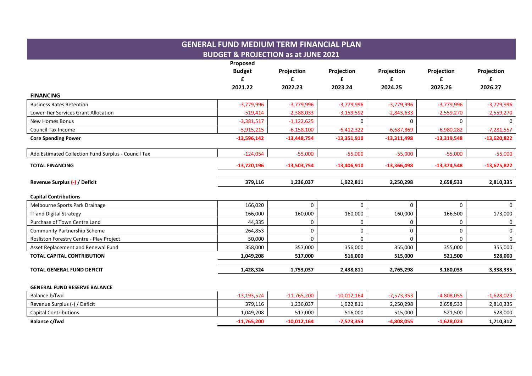## **GENERAL FUND MEDIUM TERM FINANCIAL PLAN BUDGET & PROJECTION as at JUNE 2021 Proposed Budget Projection Projection Projection Projection Projection £ £ £ £ £ £ 2021.22 2022.23 2023.24 2024.25 2025.26 2026.27 FINANCING** Business Rates Retention -3,779,996 -3,779,996 -3,779,996 -3,779,996 -3,779,996 -3,779,996 Lower Tier Services Grant Allocation -519,414 -519,414 -52,388,033 -3,159,592 -2,543,633 -2,559,270 -2,559,270 New Homes Bonus -3,381,517 | -1,122,625 | 0 | 0 | 0 Council Tax Income -5,915,215 -6,158,100 -6,412,322 -6,687,869 -6,980,282 -7,281,557 **Core Spending Power -13,596,142 -13,448,754 -13,351,910 -13,311,498 -13,319,548 -13,620,822** Add Estimated Collection Fund Surplus - Council Tax  $\begin{array}{ccc} \end{array}$  -124,054 -55,000 -55,000 -55,000 -55,000 -55,000 -55,000 -55,000 -55,000 -55,000 -55,000 -55,000 -55,000 -55,000 -55,000 -55,000 -55,000 -55,000 -55,000 -5 **TOTAL FINANCING -13,720,196 -13,503,754 -13,406,910 -13,366,498 -13,374,548 -13,675,822 Revenue Surplus (-) / Deficit 379,116 1,236,037 1,922,811 2,250,298 2,658,533 2,810,335 Capital Contributions** Melbourne Sports Park Drainage and the second of the second of the second of the second of the second of the second of the second of the second of the second of the second of the second of the second of the second of the s IT and Digital Strategy 166,000 | 160,000 | 160,000 | 166,500 | 173,000 Purchase of Town Centre Land 44,335 0 0 0 0 0 Community Partnership Scheme 264,853 0 0 0 0 0 Rosliston Forestry Centre - Play Project 50,000 0 0 0 0 0 Asset Replacement and Renewal Fund 355,000 357,000 357,000 357,000 355,000 355,000 355,000 355,000 355,000 355,000 **TOTAL CAPITAL CONTRIBUTION 1,049,208 517,000 516,000 515,000 521,500 528,000**

# **TOTAL GENERAL FUND DEFICIT 1,428,324 1,753,037 2,438,811 2,765,298 3,180,033 3,338,335**

#### **GENERAL FUND RESERVE BALANCE**

| Balance b/fwd                 | 13,193,524  | $-11,765,200$ | $-10,012,164$ | ',573,353 | 1,808,055    | 1,628,023 |
|-------------------------------|-------------|---------------|---------------|-----------|--------------|-----------|
| Revenue Surplus (-) / Deficit | 379,116     | 1,236,037     | 1,922,811     | 2,250,298 | 2,658,533    | 2,810,335 |
| <b>Capital Contributions</b>  | 1,049,208   | 517,000       | 516,000       | 515.000   | 521,500      | 528,000   |
| <b>Balance c/fwd</b>          | -11,765,200 | $-10,012,164$ | -7,573,353    | 4,808,055 | $-1,628,023$ | 1,710,312 |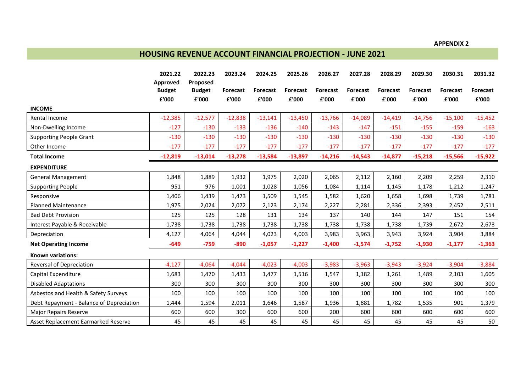# **HOUSING REVENUE ACCOUNT FINANCIAL PROJECTION - JUNE 2021**

|                                          | 2021.22                | 2022.23                | 2023.24           | 2024.25                  | 2025.26                  | 2026.27                  | 2027.28           | 2028.29                  | 2029.30           | 2030.31                  | 2031.32           |
|------------------------------------------|------------------------|------------------------|-------------------|--------------------------|--------------------------|--------------------------|-------------------|--------------------------|-------------------|--------------------------|-------------------|
|                                          | Approved               | Proposed               |                   |                          |                          |                          |                   |                          |                   |                          |                   |
|                                          | <b>Budget</b><br>£'000 | <b>Budget</b><br>£'000 | Forecast<br>£'000 | <b>Forecast</b><br>£'000 | <b>Forecast</b><br>£'000 | <b>Forecast</b><br>£'000 | Forecast<br>£'000 | <b>Forecast</b><br>£'000 | Forecast<br>£'000 | <b>Forecast</b><br>£'000 | Forecast<br>£'000 |
| <b>INCOME</b>                            |                        |                        |                   |                          |                          |                          |                   |                          |                   |                          |                   |
|                                          |                        |                        |                   |                          |                          |                          |                   |                          |                   |                          |                   |
| Rental Income                            | $-12,385$              | $-12,577$              | $-12,838$         | $-13,141$                | $-13,450$                | $-13,766$                | $-14,089$         | $-14,419$                | $-14,756$         | $-15,100$                | $-15,452$         |
| Non-Dwelling Income                      | $-127$                 | $-130$                 | $-133$            | $-136$                   | $-140$                   | $-143$                   | $-147$            | $-151$                   | $-155$            | $-159$                   | $-163$            |
| <b>Supporting People Grant</b>           | $-130$                 | $-130$                 | $-130$            | $-130$                   | $-130$                   | $-130$                   | $-130$            | $-130$                   | $-130$            | $-130$                   | $-130$            |
| Other Income                             | $-177$                 | $-177$                 | $-177$            | $-177$                   | $-177$                   | $-177$                   | $-177$            | $-177$                   | $-177$            | $-177$                   | $-177$            |
| <b>Total Income</b>                      | $-12,819$              | $-13,014$              | $-13,278$         | $-13,584$                | $-13,897$                | $-14,216$                | $-14,543$         | $-14,877$                | $-15,218$         | $-15,566$                | $-15,922$         |
| <b>EXPENDITURE</b>                       |                        |                        |                   |                          |                          |                          |                   |                          |                   |                          |                   |
| <b>General Management</b>                | 1,848                  | 1,889                  | 1,932             | 1,975                    | 2,020                    | 2,065                    | 2,112             | 2,160                    | 2,209             | 2,259                    | 2,310             |
| <b>Supporting People</b>                 | 951                    | 976                    | 1,001             | 1,028                    | 1,056                    | 1,084                    | 1,114             | 1,145                    | 1,178             | 1,212                    | 1,247             |
| Responsive                               | 1,406                  | 1,439                  | 1,473             | 1,509                    | 1,545                    | 1,582                    | 1,620             | 1,658                    | 1,698             | 1,739                    | 1,781             |
| <b>Planned Maintenance</b>               | 1,975                  | 2,024                  | 2,072             | 2,123                    | 2,174                    | 2,227                    | 2,281             | 2,336                    | 2,393             | 2,452                    | 2,511             |
| <b>Bad Debt Provision</b>                | 125                    | 125                    | 128               | 131                      | 134                      | 137                      | 140               | 144                      | 147               | 151                      | 154               |
| Interest Payable & Receivable            | 1,738                  | 1,738                  | 1,738             | 1,738                    | 1,738                    | 1,738                    | 1,738             | 1,738                    | 1,739             | 2,672                    | 2,673             |
| Depreciation                             | 4,127                  | 4,064                  | 4,044             | 4,023                    | 4,003                    | 3,983                    | 3,963             | 3,943                    | 3,924             | 3,904                    | 3,884             |
| <b>Net Operating Income</b>              | $-649$                 | $-759$                 | $-890$            | $-1,057$                 | $-1,227$                 | $-1,400$                 | $-1,574$          | $-1,752$                 | $-1,930$          | $-1,177$                 | $-1,363$          |
| <b>Known variations:</b>                 |                        |                        |                   |                          |                          |                          |                   |                          |                   |                          |                   |
| Reversal of Depreciation                 | $-4,127$               | $-4,064$               | $-4,044$          | $-4,023$                 | $-4,003$                 | $-3,983$                 | $-3,963$          | $-3,943$                 | $-3,924$          | $-3,904$                 | $-3,884$          |
| Capital Expenditure                      | 1,683                  | 1,470                  | 1,433             | 1,477                    | 1,516                    | 1,547                    | 1,182             | 1,261                    | 1,489             | 2,103                    | 1,605             |
| <b>Disabled Adaptations</b>              | 300                    | 300                    | 300               | 300                      | 300                      | 300                      | 300               | 300                      | 300               | 300                      | 300               |
| Asbestos and Health & Safety Surveys     | 100                    | 100                    | 100               | 100                      | 100                      | 100                      | 100               | 100                      | 100               | 100                      | 100               |
| Debt Repayment - Balance of Depreciation | 1,444                  | 1,594                  | 2,011             | 1,646                    | 1,587                    | 1,936                    | 1,881             | 1,782                    | 1,535             | 901                      | 1,379             |
| <b>Major Repairs Reserve</b>             | 600                    | 600                    | 300               | 600                      | 600                      | 200                      | 600               | 600                      | 600               | 600                      | 600               |
| Asset Replacement Earmarked Reserve      | 45                     | 45                     | 45                | 45                       | 45                       | 45                       | 45                | 45                       | 45                | 45                       | 50                |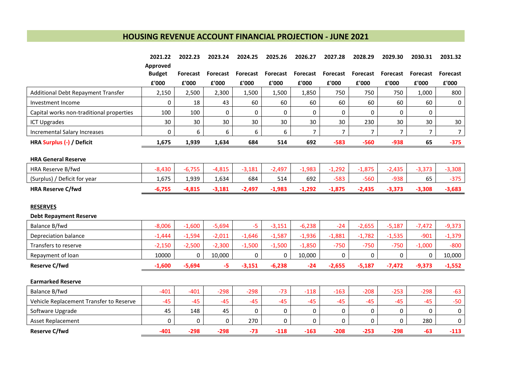# **HOUSING REVENUE ACCOUNT FINANCIAL PROJECTION - JUNE 2021**

|                                          | 2021.22       | 2022.23         | 2023.24  | 2024.25         | 2025.26  | 2026.27         | 2027.28         | 2028.29         | 2029.30         | 2030.31         | 2031.32         |
|------------------------------------------|---------------|-----------------|----------|-----------------|----------|-----------------|-----------------|-----------------|-----------------|-----------------|-----------------|
|                                          | Approved      |                 |          |                 |          |                 |                 |                 |                 |                 |                 |
|                                          | <b>Budget</b> | <b>Forecast</b> | Forecast | <b>Forecast</b> | Forecast | <b>Forecast</b> | <b>Forecast</b> | <b>Forecast</b> | <b>Forecast</b> | <b>Forecast</b> | <b>Forecast</b> |
|                                          | £'000         | £'000           | £'000    | £'000           | £'000    | £'000           | £'000           | £'000           | £'000           | £'000           | £'000           |
| Additional Debt Repayment Transfer       | 2,150         | 2,500           | 2,300    | 1,500           | 1,500    | 1,850           | 750             | 750             | 750             | 1,000           | 800             |
| Investment Income                        | 0             | 18              | 43       | 60              | 60       | 60              | 60              | 60              | 60              | 60              | 0               |
| Capital works non-traditional properties | 100           | 100             | 0        | 0               | 0        | 0               | 0               | 0               | 0               | $\mathbf{0}$    |                 |
| <b>ICT Upgrades</b>                      | 30            | 30              | 30       | 30              | 30       | 30              | 30              | 230             | 30              | 30              | 30              |
| Incremental Salary Increases             | $\Omega$      | 6               | 6        | 6               | 6        | $\overline{7}$  | $\overline{7}$  | $\overline{7}$  | $\overline{7}$  | $\overline{7}$  | $\overline{7}$  |
| HRA Surplus (-) / Deficit                | 1,675         | 1,939           | 1,634    | 684             | 514      | 692             | $-583$          | $-560$          | $-938$          | 65              | $-375$          |
| <b>HRA General Reserve</b>               |               |                 |          |                 |          |                 |                 |                 |                 |                 |                 |
| HRA Reserve B/fwd                        | $-8,430$      | $-6,755$        | $-4,815$ | $-3,181$        | $-2,497$ | $-1,983$        | $-1,292$        | $-1,875$        | $-2,435$        | $-3,373$        | $-3,308$        |
| (Surplus) / Deficit for year             | 1,675         | 1,939           | 1,634    | 684             | 514      | 692             | $-583$          | $-560$          | $-938$          | 65              | $-375$          |
| <b>HRA Reserve C/fwd</b>                 | $-6,755$      | $-4,815$        | $-3,181$ | $-2,497$        | $-1,983$ | $-1,292$        | $-1,875$        | $-2,435$        | $-3,373$        | $-3,308$        | $-3,683$        |
|                                          |               |                 |          |                 |          |                 |                 |                 |                 |                 |                 |
| <b>RESERVES</b>                          |               |                 |          |                 |          |                 |                 |                 |                 |                 |                 |
| <b>Debt Repayment Reserve</b>            |               |                 |          |                 |          |                 |                 |                 |                 |                 |                 |
| Balance B/fwd                            | $-8,006$      | $-1,600$        | $-5,694$ | $-5$            | $-3,151$ | $-6,238$        | $-24$           | $-2,655$        | $-5,187$        | $-7,472$        | $-9,373$        |
| Depreciation balance                     | $-1,444$      | $-1,594$        | $-2,011$ | $-1,646$        | $-1,587$ | $-1,936$        | $-1,881$        | $-1,782$        | $-1,535$        | $-901$          | $-1,379$        |
| Transfers to reserve                     | $-2,150$      | $-2,500$        | $-2,300$ | $-1,500$        | $-1,500$ | $-1,850$        | $-750$          | $-750$          | $-750$          | $-1,000$        | $-800$          |
| Repayment of loan                        | 10000         | $\Omega$        | 10,000   | 0               | 0        | 10,000          | 0               | 0               | $\Omega$        | 0               | 10,000          |
| <b>Reserve C/fwd</b>                     | $-1,600$      | $-5,694$        | -5       | $-3,151$        | $-6,238$ | $-24$           | $-2,655$        | $-5,187$        | $-7,472$        | $-9,373$        | $-1,552$        |
| <b>Earmarked Reserve</b>                 |               |                 |          |                 |          |                 |                 |                 |                 |                 |                 |
| Balance B/fwd                            | $-401$        | $-401$          | $-298$   | $-298$          | $-73$    | $-118$          | $-163$          | $-208$          | $-253$          | $-298$          | $-63$           |
| Vehicle Replacement Transfer to Reserve  | $-45$         | $-45$           | $-45$    | $-45$           | $-45$    | $-45$           | $-45$           | $-45$           | $-45$           | $-45$           | $-50$           |
| Software Upgrade                         | 45            | 148             | 45       | 0               | 0        | 0               | 0               | 0               | 0               | $\mathbf{0}$    | $\mathbf 0$     |
| Asset Replacement                        | 0             | 0               | 0        | 270             | 0        | 0               | 0               | $\Omega$        | 0               | 280             | $\mathbf 0$     |
| <b>Reserve C/fwd</b>                     | $-401$        | $-298$          | $-298$   | $-73$           | $-118$   | $-163$          | $-208$          | $-253$          | $-298$          | $-63$           | $-113$          |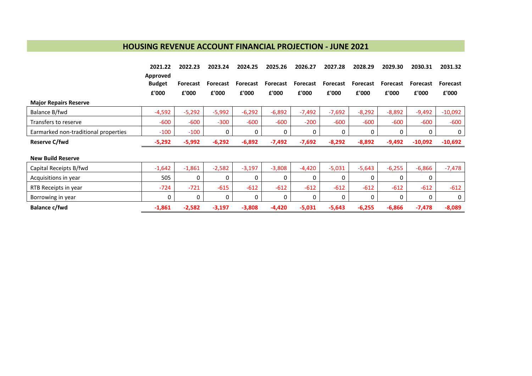## **HOUSING REVENUE ACCOUNT FINANCIAL PROJECTION - JUNE 2021**

|                                      | 2021.22       | 2022.23  | 2023.24  | 2024.25         | 2025.26         | 2026.27  | 2027.28  | 2028.29  | 2029.30  | 2030.31   | 2031.32         |
|--------------------------------------|---------------|----------|----------|-----------------|-----------------|----------|----------|----------|----------|-----------|-----------------|
|                                      | Approved      |          |          |                 |                 |          |          |          |          |           |                 |
|                                      | <b>Budget</b> | Forecast | Forecast | <b>Forecast</b> | <b>Forecast</b> | Forecast | Forecast | Forecast | Forecast | Forecast  | <b>Forecast</b> |
|                                      | £'000         | £'000    | £'000    | £'000           | £'000           | £'000    | £'000    | £'000    | £'000    | £'000     | £'000           |
| <b>Major Repairs Reserve</b>         |               |          |          |                 |                 |          |          |          |          |           |                 |
| Balance B/fwd                        | $-4,592$      | $-5,292$ | $-5,992$ | $-6,292$        | $-6,892$        | $-7,492$ | $-7,692$ | $-8,292$ | $-8,892$ | $-9,492$  | $-10,092$       |
| Transfers to reserve                 | $-600$        | $-600$   | $-300$   | $-600$          | $-600$          | $-200$   | $-600$   | $-600$   | $-600$   | $-600$    | $-600$          |
| Earmarked non-traditional properties | $-100$        | $-100$   | 0        | 0               | 0               | 0        | 0        | 0        | $\Omega$ | $\Omega$  | 0               |
| Reserve C/fwd                        | $-5,292$      | $-5,992$ | $-6,292$ | $-6,892$        | $-7,492$        | $-7,692$ | $-8,292$ | $-8,892$ | $-9,492$ | $-10,092$ | $-10,692$       |
|                                      |               |          |          |                 |                 |          |          |          |          |           |                 |
| <b>New Build Reserve</b>             |               |          |          |                 |                 |          |          |          |          |           |                 |
| Capital Receipts B/fwd               | $-1,642$      | $-1,861$ | $-2,582$ | $-3,197$        | $-3,808$        | $-4,420$ | $-5,031$ | $-5,643$ | $-6,255$ | $-6,866$  | $-7,478$        |
| Acquisitions in year                 | 505           | 0        | 0        | 0               | 0               | 0        | 0        |          | 0        | 0         |                 |
| RTB Receipts in year                 | $-724$        | $-721$   | $-615$   | $-612$          | $-612$          | $-612$   | $-612$   | $-612$   | $-612$   | $-612$    | $-612$          |
| Borrowing in year                    | 0             | 0        | 0        | 0               | 0               | 0        | 0        | 0        | 0        | 0         | 0               |
| Balance c/fwd                        | $-1,861$      | $-2,582$ | $-3,197$ | $-3,808$        | $-4,420$        | $-5,031$ | $-5,643$ | $-6,255$ | $-6,866$ | $-7,478$  | $-8,089$        |